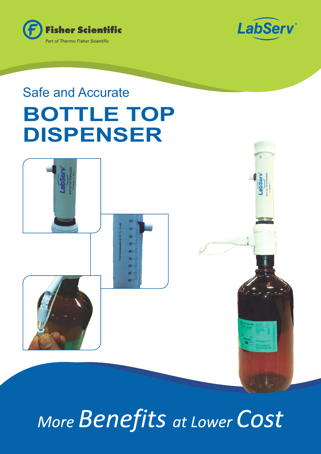



# **BOTTLE TOP DISPENSER** Safe and Accurate



*More Benefits at Lower Cost*